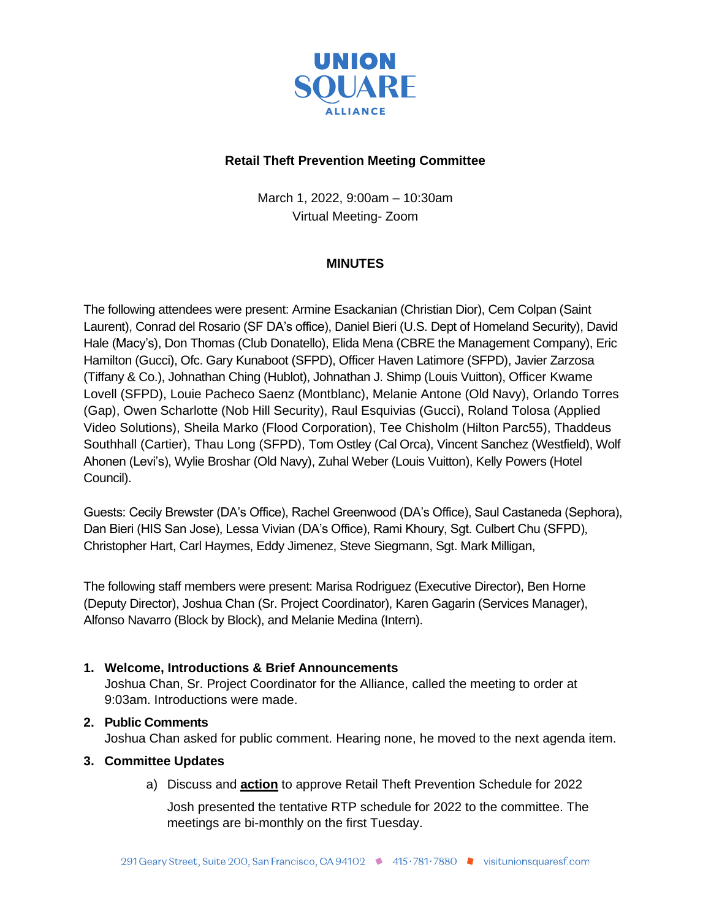

## **Retail Theft Prevention Meeting Committee**

March 1, 2022, 9:00am – 10:30am Virtual Meeting- Zoom

# **MINUTES**

The following attendees were present: Armine Esackanian (Christian Dior), Cem Colpan (Saint Laurent), Conrad del Rosario (SF DA's office), Daniel Bieri (U.S. Dept of Homeland Security), David Hale (Macy's), Don Thomas (Club Donatello), Elida Mena (CBRE the Management Company), Eric Hamilton (Gucci), Ofc. Gary Kunaboot (SFPD), Officer Haven Latimore (SFPD), Javier Zarzosa (Tiffany & Co.), Johnathan Ching (Hublot), Johnathan J. Shimp (Louis Vuitton), Officer Kwame Lovell (SFPD), Louie Pacheco Saenz (Montblanc), Melanie Antone (Old Navy), Orlando Torres (Gap), Owen Scharlotte (Nob Hill Security), Raul Esquivias (Gucci), Roland Tolosa (Applied Video Solutions), Sheila Marko (Flood Corporation), Tee Chisholm (Hilton Parc55), Thaddeus Southhall (Cartier), Thau Long (SFPD), Tom Ostley (Cal Orca), Vincent Sanchez (Westfield), Wolf Ahonen (Levi's), Wylie Broshar (Old Navy), Zuhal Weber (Louis Vuitton), Kelly Powers (Hotel Council).

Guests: Cecily Brewster (DA's Office), Rachel Greenwood (DA's Office), Saul Castaneda (Sephora), Dan Bieri (HIS San Jose), Lessa Vivian (DA's Office), Rami Khoury, Sgt. Culbert Chu (SFPD), Christopher Hart, Carl Haymes, Eddy Jimenez, Steve Siegmann, Sgt. Mark Milligan,

The following staff members were present: Marisa Rodriguez (Executive Director), Ben Horne (Deputy Director), Joshua Chan (Sr. Project Coordinator), Karen Gagarin (Services Manager), Alfonso Navarro (Block by Block), and Melanie Medina (Intern).

### **1. Welcome, Introductions & Brief Announcements**

Joshua Chan, Sr. Project Coordinator for the Alliance, called the meeting to order at 9:03am. Introductions were made.

## **2. Public Comments**

Joshua Chan asked for public comment. Hearing none, he moved to the next agenda item.

### **3. Committee Updates**

a) Discuss and **action** to approve Retail Theft Prevention Schedule for 2022

Josh presented the tentative RTP schedule for 2022 to the committee. The meetings are bi-monthly on the first Tuesday.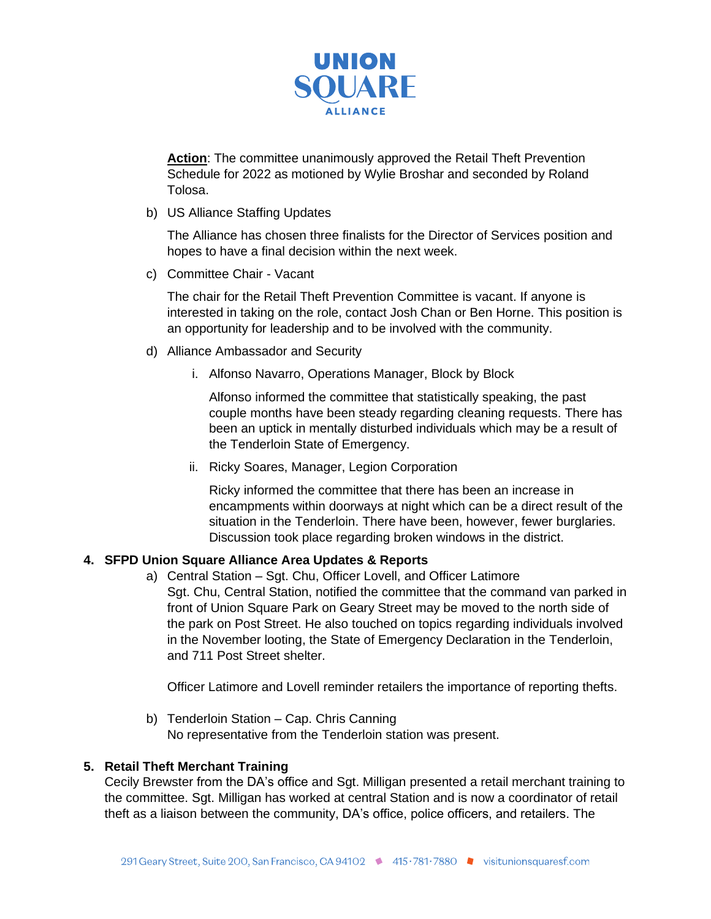

Action: The committee unanimously approved the Retail Theft Prevention Schedule for 2022 as motioned by Wylie Broshar and seconded by Roland Tolosa.

b) US Alliance Staffing Updates

The Alliance has chosen three finalists for the Director of Services position and hopes to have a final decision within the next week.

c) Committee Chair - Vacant

The chair for the Retail Theft Prevention Committee is vacant. If anyone is interested in taking on the role, contact Josh Chan or Ben Horne. This position is an opportunity for leadership and to be involved with the community.

- d) Alliance Ambassador and Security
	- i. Alfonso Navarro, Operations Manager, Block by Block

Alfonso informed the committee that statistically speaking, the past couple months have been steady regarding cleaning requests. There has been an uptick in mentally disturbed individuals which may be a result of the Tenderloin State of Emergency.

ii. Ricky Soares, Manager, Legion Corporation

Ricky informed the committee that there has been an increase in encampments within doorways at night which can be a direct result of the situation in the Tenderloin. There have been, however, fewer burglaries. Discussion took place regarding broken windows in the district.

### **4. SFPD Union Square Alliance Area Updates & Reports**

a) Central Station – Sgt. Chu, Officer Lovell, and Officer Latimore Sgt. Chu, Central Station, notified the committee that the command van parked in front of Union Square Park on Geary Street may be moved to the north side of the park on Post Street. He also touched on topics regarding individuals involved in the November looting, the State of Emergency Declaration in the Tenderloin, and 711 Post Street shelter.

Officer Latimore and Lovell reminder retailers the importance of reporting thefts.

b) Tenderloin Station – Cap. Chris Canning No representative from the Tenderloin station was present.

#### **5. Retail Theft Merchant Training**

Cecily Brewster from the DA's office and Sgt. Milligan presented a retail merchant training to the committee. Sgt. Milligan has worked at central Station and is now a coordinator of retail theft as a liaison between the community, DA's office, police officers, and retailers. The